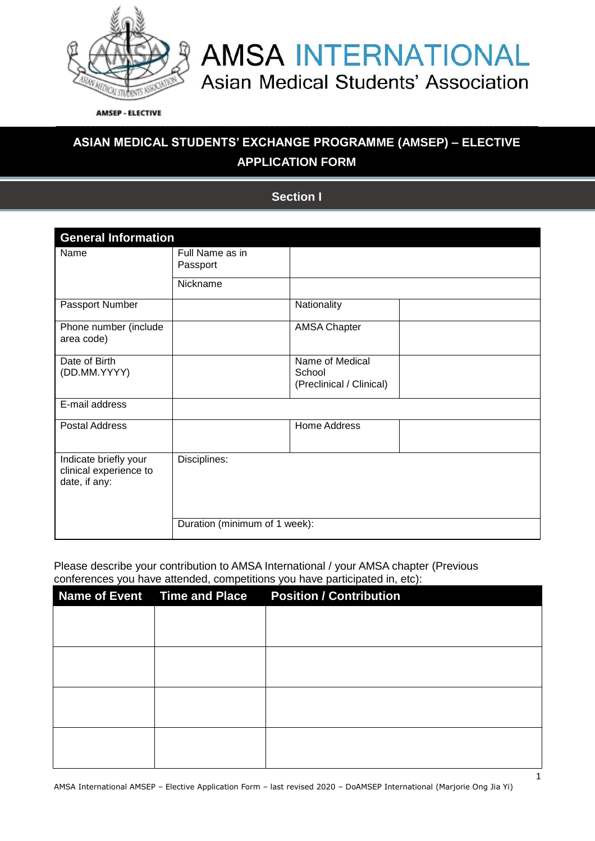

**AMSEP - ELECTIVE** 

### **ASIAN MEDICAL STUDENTS' EXCHANGE PROGRAMME (AMSEP) – ELECTIVE APPLICATION FORM**

\_\_\_\_\_\_\_\_\_\_\_\_\_\_\_\_\_\_\_\_\_\_\_\_\_\_\_\_\_\_\_\_\_\_\_\_\_\_\_\_\_\_\_\_\_\_\_\_\_\_\_\_\_\_\_\_\_\_\_\_\_\_\_\_\_\_\_\_\_\_\_\_\_\_\_\_\_\_\_\_\_\_\_\_\_\_\_\_\_\_\_\_\_\_\_\_\_

**DECLARATION FORM Section I**

| <b>General Information</b>                                       |                             |                                                       |  |  |
|------------------------------------------------------------------|-----------------------------|-------------------------------------------------------|--|--|
| Name                                                             | Full Name as in<br>Passport |                                                       |  |  |
|                                                                  | Nickname                    |                                                       |  |  |
| Passport Number                                                  |                             | Nationality                                           |  |  |
| Phone number (include<br>area code)                              |                             | <b>AMSA Chapter</b>                                   |  |  |
| Date of Birth<br>(DD.MM.YYYY)                                    |                             | Name of Medical<br>School<br>(Preclinical / Clinical) |  |  |
| E-mail address                                                   |                             |                                                       |  |  |
| <b>Postal Address</b>                                            |                             | Home Address                                          |  |  |
| Indicate briefly your<br>clinical experience to<br>date, if any: | Disciplines:                |                                                       |  |  |
| Duration (minimum of 1 week):                                    |                             |                                                       |  |  |

Please describe your contribution to AMSA International / your AMSA chapter (Previous conferences you have attended, competitions you have participated in, etc):

|  | Name of Event Time and Place Position / Contribution |
|--|------------------------------------------------------|
|  |                                                      |
|  |                                                      |
|  |                                                      |
|  |                                                      |
|  |                                                      |
|  |                                                      |
|  |                                                      |
|  |                                                      |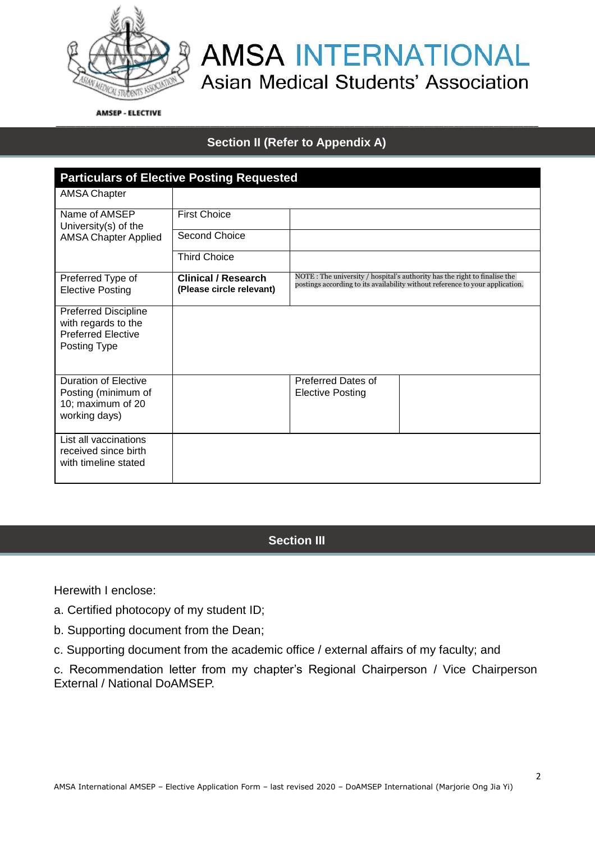

**AMSEP - ELECTIVE** 

### \_\_\_\_\_\_\_\_\_\_\_\_\_\_\_\_\_\_\_\_\_\_\_\_\_\_\_\_\_\_\_\_\_\_\_\_\_\_\_\_\_\_\_\_\_\_\_\_\_\_\_\_\_\_\_\_\_\_\_\_\_\_\_\_\_\_\_\_\_\_\_\_\_\_\_\_\_\_\_\_\_\_\_\_\_\_\_\_\_\_\_\_\_\_\_\_\_ **Section II (Refer to Appendix A)**

| <b>Particulars of Elective Posting Requested</b>                                                |                                                        |                                                                                                                                                            |  |  |
|-------------------------------------------------------------------------------------------------|--------------------------------------------------------|------------------------------------------------------------------------------------------------------------------------------------------------------------|--|--|
| AMSA Chapter                                                                                    |                                                        |                                                                                                                                                            |  |  |
| Name of AMSEP<br>University(s) of the<br><b>AMSA Chapter Applied</b>                            | <b>First Choice</b>                                    |                                                                                                                                                            |  |  |
|                                                                                                 | Second Choice                                          |                                                                                                                                                            |  |  |
|                                                                                                 | <b>Third Choice</b>                                    |                                                                                                                                                            |  |  |
| Preferred Type of<br><b>Elective Posting</b>                                                    | <b>Clinical / Research</b><br>(Please circle relevant) | NOTE: The university / hospital's authority has the right to finalise the<br>postings according to its availability without reference to your application. |  |  |
| <b>Preferred Discipline</b><br>with regards to the<br><b>Preferred Elective</b><br>Posting Type |                                                        |                                                                                                                                                            |  |  |
| Duration of Elective<br>Posting (minimum of<br>10; maximum of 20<br>working days)               |                                                        | Preferred Dates of<br><b>Elective Posting</b>                                                                                                              |  |  |
| List all vaccinations<br>received since birth<br>with timeline stated                           |                                                        |                                                                                                                                                            |  |  |

#### **Section III**

Herewith I enclose:

- a. Certified photocopy of my student ID;
- b. Supporting document from the Dean;
- c. Supporting document from the academic office / external affairs of my faculty; and

c. Recommendation letter from my chapter's Regional Chairperson / Vice Chairperson External / National DoAMSEP.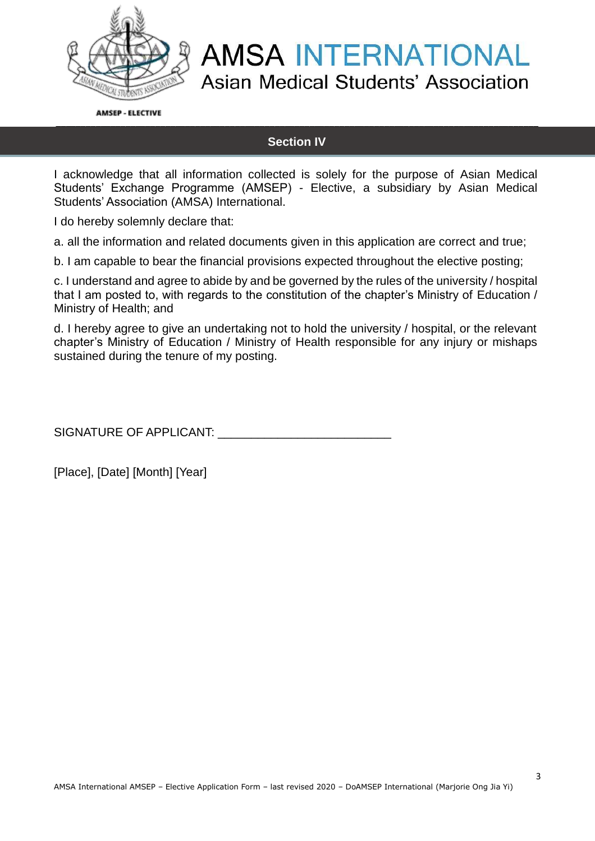

**AMSEP - ELECTIVE** \_\_\_\_\_\_\_\_\_\_\_\_\_\_\_\_\_\_\_\_\_\_\_\_\_\_\_\_\_\_\_\_\_\_\_\_\_\_\_\_\_\_\_\_\_\_\_\_\_\_\_\_\_\_\_\_\_\_\_\_\_\_\_\_\_\_\_\_\_\_\_\_\_\_\_\_\_\_\_\_\_\_\_\_\_\_\_\_\_\_\_\_\_\_\_\_\_

#### **Section IV**

I acknowledge that all information collected is solely for the purpose of Asian Medical Students' Exchange Programme (AMSEP) - Elective, a subsidiary by Asian Medical Students' Association (AMSA) International.

I do hereby solemnly declare that:

a. all the information and related documents given in this application are correct and true;

b. I am capable to bear the financial provisions expected throughout the elective posting;

c. I understand and agree to abide by and be governed by the rules of the university / hospital that I am posted to, with regards to the constitution of the chapter's Ministry of Education / Ministry of Health; and

d. I hereby agree to give an undertaking not to hold the university / hospital, or the relevant chapter's Ministry of Education / Ministry of Health responsible for any injury or mishaps sustained during the tenure of my posting.

SIGNATURE OF APPLICANT: \_\_\_\_\_\_\_\_\_\_\_\_\_\_\_\_\_\_\_\_\_\_\_\_\_\_

[Place], [Date] [Month] [Year]